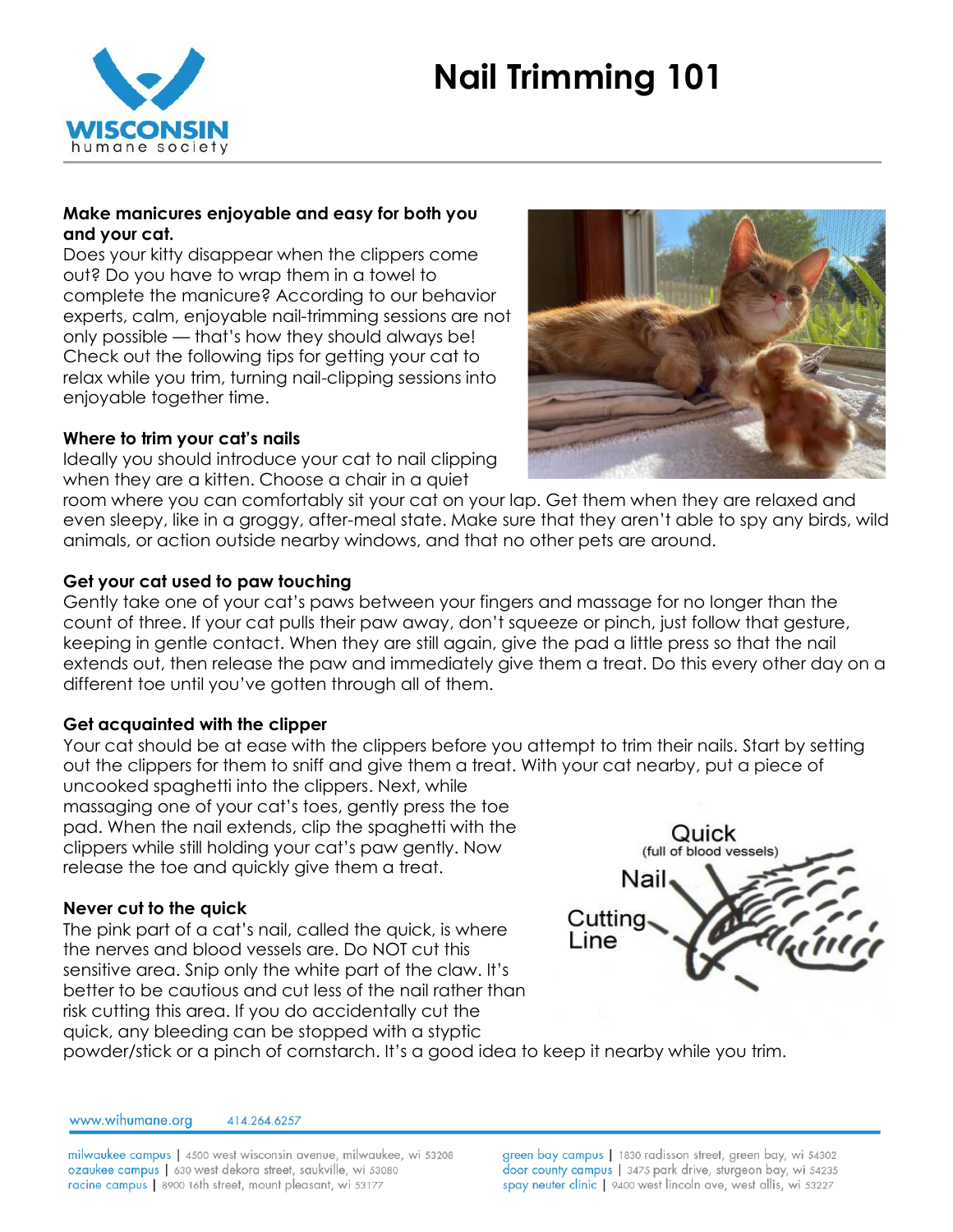# **Nail Trimming 101**



#### **Make manicures enjoyable and easy for both you and your cat.**

Does your kitty disappear when the clippers come out? Do you have to wrap them in a towel to complete the manicure? According to our behavior experts, calm, enjoyable nail-trimming sessions are not only possible — that's how they should always be! Check out the following tips for getting your cat to relax while you trim, turning nail-clipping sessions into enjoyable together time.

#### **Where to trim your cat's nails**

Ideally you should introduce your cat to nail clipping when they are a kitten. Choose a chair in a quiet



room where you can comfortably sit your cat on your lap. Get them when they are relaxed and even sleepy, like in a groggy, after-meal state. Make sure that they aren't able to spy any birds, wild animals, or action outside nearby windows, and that no other pets are around.

# **Get your cat used to paw touching**

Gently take one of your cat's paws between your fingers and massage for no longer than the count of three. If your cat pulls their paw away, don't squeeze or pinch, just follow that gesture, keeping in gentle contact. When they are still again, give the pad a little press so that the nail extends out, then release the paw and immediately give them a treat. Do this every other day on a different toe until you've gotten through all of them.

#### **Get acquainted with the clipper**

Your cat should be at ease with the clippers before you attempt to trim their nails. Start by setting out the clippers for them to sniff and give them a treat. With your cat nearby, put a piece of uncooked spaghetti into the clippers. Next, while

massaging one of your cat's toes, gently press the toe pad. When the nail extends, clip the spaghetti with the clippers while still holding your cat's paw gently. Now release the toe and quickly give them a treat.

#### **Never cut to the quick**

The pink part of a cat's nail, called the quick, is where the nerves and blood vessels are. Do NOT cut this sensitive area. Snip only the white part of the claw. It's better to be cautious and cut less of the nail rather than risk cutting this area. If you do accidentally cut the quick, any bleeding can be stopped with a styptic



powder/stick or a pinch of cornstarch. It's a good idea to keep it nearby while you trim.

www.wihumane.org 414.264.6257

milwaukee campus | 4500 west wisconsin avenue, milwaukee, wi 53208 ozaukee campus | 630 west dekora street, saukville, wi 53080 racine campus | 8900 16th street, mount pleasant, wi 53177